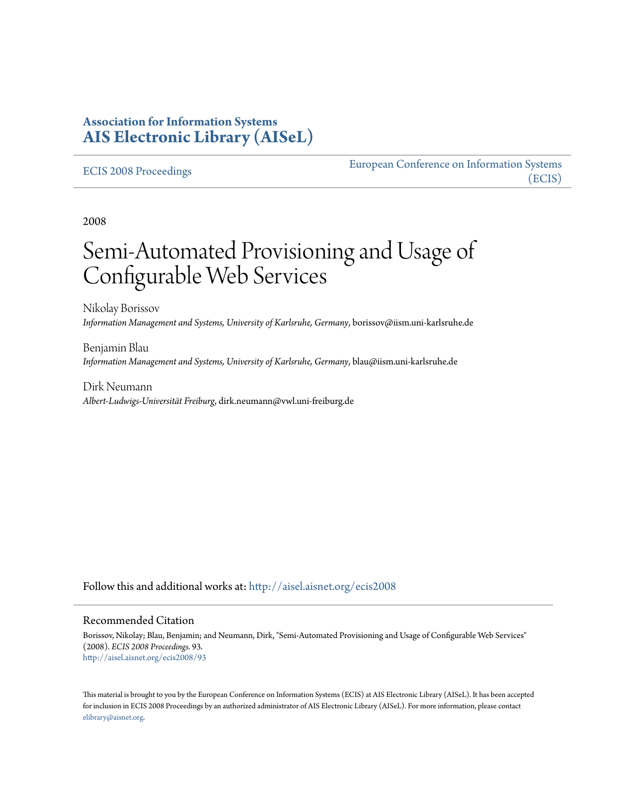## **Association for Information Systems [AIS Electronic Library \(AISeL\)](http://aisel.aisnet.org?utm_source=aisel.aisnet.org%2Fecis2008%2F93&utm_medium=PDF&utm_campaign=PDFCoverPages)**

#### [ECIS 2008 Proceedings](http://aisel.aisnet.org/ecis2008?utm_source=aisel.aisnet.org%2Fecis2008%2F93&utm_medium=PDF&utm_campaign=PDFCoverPages)

[European Conference on Information Systems](http://aisel.aisnet.org/ecis?utm_source=aisel.aisnet.org%2Fecis2008%2F93&utm_medium=PDF&utm_campaign=PDFCoverPages) [\(ECIS\)](http://aisel.aisnet.org/ecis?utm_source=aisel.aisnet.org%2Fecis2008%2F93&utm_medium=PDF&utm_campaign=PDFCoverPages)

2008

# Semi-Automated Provisioning and Usage of Configurable Web Services

Nikolay Borissov *Information Management and Systems, University of Karlsruhe, Germany*, borissov@iism.uni-karlsruhe.de

Benjamin Blau *Information Management and Systems, University of Karlsruhe, Germany*, blau@iism.uni-karlsruhe.de

Dirk Neumann *Albert-Ludwigs-Universität Freiburg*, dirk.neumann@vwl.uni-freiburg.de

Follow this and additional works at: [http://aisel.aisnet.org/ecis2008](http://aisel.aisnet.org/ecis2008?utm_source=aisel.aisnet.org%2Fecis2008%2F93&utm_medium=PDF&utm_campaign=PDFCoverPages)

#### Recommended Citation

Borissov, Nikolay; Blau, Benjamin; and Neumann, Dirk, "Semi-Automated Provisioning and Usage of Configurable Web Services" (2008). *ECIS 2008 Proceedings*. 93. [http://aisel.aisnet.org/ecis2008/93](http://aisel.aisnet.org/ecis2008/93?utm_source=aisel.aisnet.org%2Fecis2008%2F93&utm_medium=PDF&utm_campaign=PDFCoverPages)

This material is brought to you by the European Conference on Information Systems (ECIS) at AIS Electronic Library (AISeL). It has been accepted for inclusion in ECIS 2008 Proceedings by an authorized administrator of AIS Electronic Library (AISeL). For more information, please contact [elibrary@aisnet.org.](mailto:elibrary@aisnet.org%3E)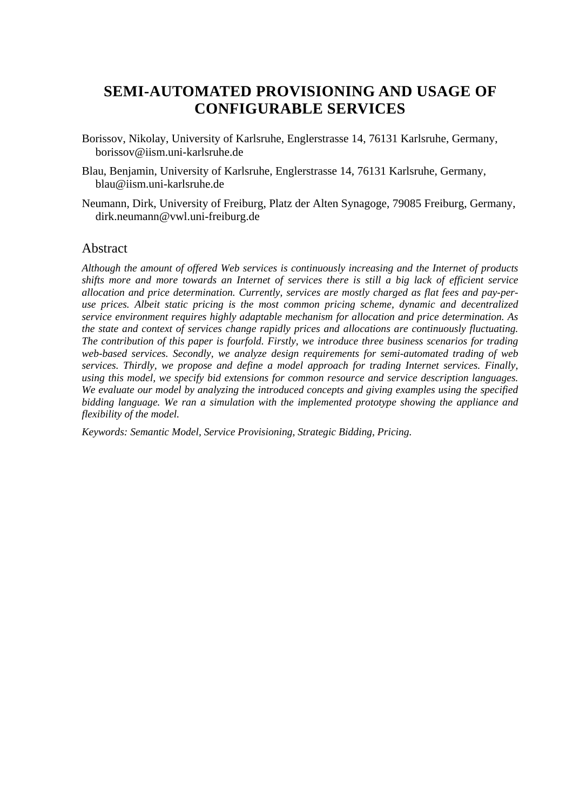# **SEMI-AUTOMATED PROVISIONING AND USAGE OF CONFIGURABLE SERVICES**

- Borissov, Nikolay, University of Karlsruhe, Englerstrasse 14, 76131 Karlsruhe, Germany, borissov@iism.uni-karlsruhe.de
- Blau, Benjamin, University of Karlsruhe, Englerstrasse 14, 76131 Karlsruhe, Germany, blau@iism.uni-karlsruhe.de
- Neumann, Dirk, University of Freiburg, Platz der Alten Synagoge, 79085 Freiburg, Germany, dirk.neumann@vwl.uni-freiburg.de

## Abstract

*Although the amount of offered Web services is continuously increasing and the Internet of products shifts more and more towards an Internet of services there is still a big lack of efficient service allocation and price determination. Currently, services are mostly charged as flat fees and pay-peruse prices. Albeit static pricing is the most common pricing scheme, dynamic and decentralized service environment requires highly adaptable mechanism for allocation and price determination. As the state and context of services change rapidly prices and allocations are continuously fluctuating. The contribution of this paper is fourfold. Firstly, we introduce three business scenarios for trading web-based services. Secondly, we analyze design requirements for semi-automated trading of web services. Thirdly, we propose and define a model approach for trading Internet services. Finally, using this model, we specify bid extensions for common resource and service description languages. We evaluate our model by analyzing the introduced concepts and giving examples using the specified bidding language. We ran a simulation with the implemented prototype showing the appliance and flexibility of the model.* 

*Keywords: Semantic Model, Service Provisioning, Strategic Bidding, Pricing.*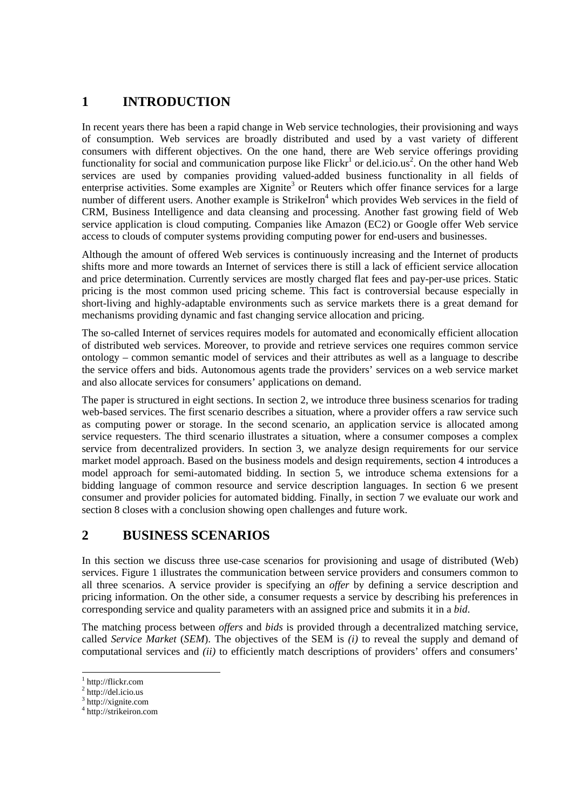# **1 INTRODUCTION**

In recent years there has been a rapid change in Web service technologies, their provisioning and ways of consumption. Web services are broadly distributed and used by a vast variety of different consumers with different objectives. On the one hand, there are Web service offerings providing functionality for social and communication purpose like  $Flickr^1$  or del.icio.us<sup>2</sup>. On the other hand Web services are used by companies providing valued-added business functionality in all fields of enterprise activities. Some examples are Xignite<sup>3</sup> or Reuters which offer finance services for a large number of different users. Another example is StrikeIron<sup>4</sup> which provides Web services in the field of CRM, Business Intelligence and data cleansing and processing. Another fast growing field of Web service application is cloud computing. Companies like Amazon (EC2) or Google offer Web service access to clouds of computer systems providing computing power for end-users and businesses.

Although the amount of offered Web services is continuously increasing and the Internet of products shifts more and more towards an Internet of services there is still a lack of efficient service allocation and price determination. Currently services are mostly charged flat fees and pay-per-use prices. Static pricing is the most common used pricing scheme. This fact is controversial because especially in short-living and highly-adaptable environments such as service markets there is a great demand for mechanisms providing dynamic and fast changing service allocation and pricing.

The so-called Internet of services requires models for automated and economically efficient allocation of distributed web services. Moreover, to provide and retrieve services one requires common service ontology – common semantic model of services and their attributes as well as a language to describe the service offers and bids. Autonomous agents trade the providers' services on a web service market and also allocate services for consumers' applications on demand.

The paper is structured in eight sections. In section 2, we introduce three business scenarios for trading web-based services. The first scenario describes a situation, where a provider offers a raw service such as computing power or storage. In the second scenario, an application service is allocated among service requesters. The third scenario illustrates a situation, where a consumer composes a complex service from decentralized providers. In section 3, we analyze design requirements for our service market model approach. Based on the business models and design requirements, section 4 introduces a model approach for semi-automated bidding. In section 5, we introduce schema extensions for a bidding language of common resource and service description languages. In section 6 we present consumer and provider policies for automated bidding. Finally, in section 7 we evaluate our work and section 8 closes with a conclusion showing open challenges and future work.

## **2 BUSINESS SCENARIOS**

In this section we discuss three use-case scenarios for provisioning and usage of distributed (Web) services. Figure 1 illustrates the communication between service providers and consumers common to all three scenarios. A service provider is specifying an *offer* by defining a service description and pricing information. On the other side, a consumer requests a service by describing his preferences in corresponding service and quality parameters with an assigned price and submits it in a *bid*.

The matching process between *offers* and *bids* is provided through a decentralized matching service, called *Service Market* (*SEM*). The objectives of the SEM is *(i)* to reveal the supply and demand of computational services and *(ii)* to efficiently match descriptions of providers' offers and consumers'

1

<sup>1</sup> http://flickr.com

 $2$  http://del.icio.us

<sup>&</sup>lt;sup>3</sup> http://xignite.com

<sup>4</sup> http://strikeiron.com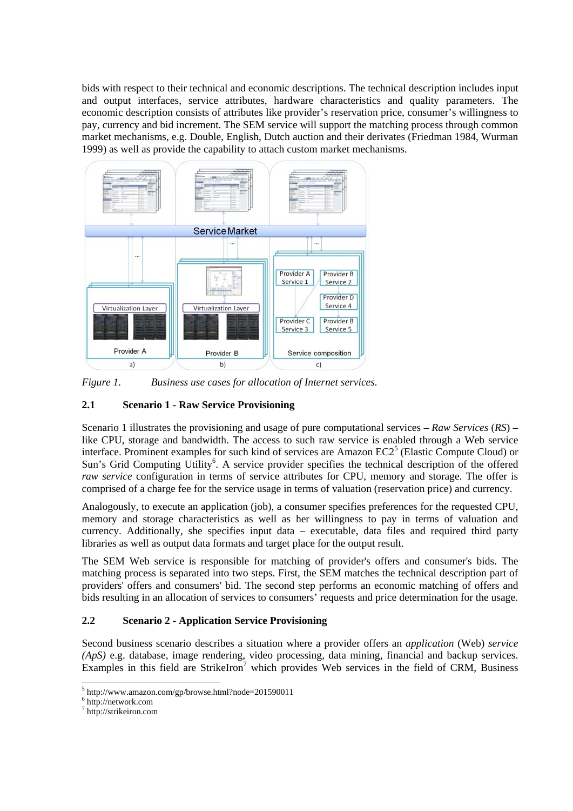bids with respect to their technical and economic descriptions. The technical description includes input and output interfaces, service attributes, hardware characteristics and quality parameters. The economic description consists of attributes like provider's reservation price, consumer's willingness to pay, currency and bid increment. The SEM service will support the matching process through common market mechanisms, e.g. Double, English, Dutch auction and their derivates (Friedman 1984, Wurman 1999) as well as provide the capability to attach custom market mechanisms.



*Figure 1. Business use cases for allocation of Internet services.* 

## **2.1 Scenario 1 - Raw Service Provisioning**

Scenario 1 illustrates the provisioning and usage of pure computational services – *Raw Services* (*RS*) – like CPU, storage and bandwidth. The access to such raw service is enabled through a Web service interface. Prominent examples for such kind of services are Amazon  $EC2<sup>5</sup>$  (Elastic Compute Cloud) or Sun's Grid Computing Utility<sup>6</sup>. A service provider specifies the technical description of the offered *raw service* configuration in terms of service attributes for CPU, memory and storage. The offer is comprised of a charge fee for the service usage in terms of valuation (reservation price) and currency.

Analogously, to execute an application (job), a consumer specifies preferences for the requested CPU, memory and storage characteristics as well as her willingness to pay in terms of valuation and currency. Additionally, she specifies input data – executable, data files and required third party libraries as well as output data formats and target place for the output result.

The SEM Web service is responsible for matching of provider's offers and consumer's bids. The matching process is separated into two steps. First, the SEM matches the technical description part of providers' offers and consumers' bid. The second step performs an economic matching of offers and bids resulting in an allocation of services to consumers' requests and price determination for the usage.

## **2.2 Scenario 2 - Application Service Provisioning**

Second business scenario describes a situation where a provider offers an *application* (Web) *service (ApS)* e.g. database, image rendering, video processing, data mining, financial and backup services. Examples in this field are StrikeIron<sup>7</sup> which provides Web services in the field of CRM, Business

<sup>5&</sup>lt;br>
<sup>5</sup> http://www.amazon.com/gp/browse.html?node=201590011<br>
<sup>6</sup> http://notwork.com

 $6$  http://network.com

<sup>7</sup> http://strikeiron.com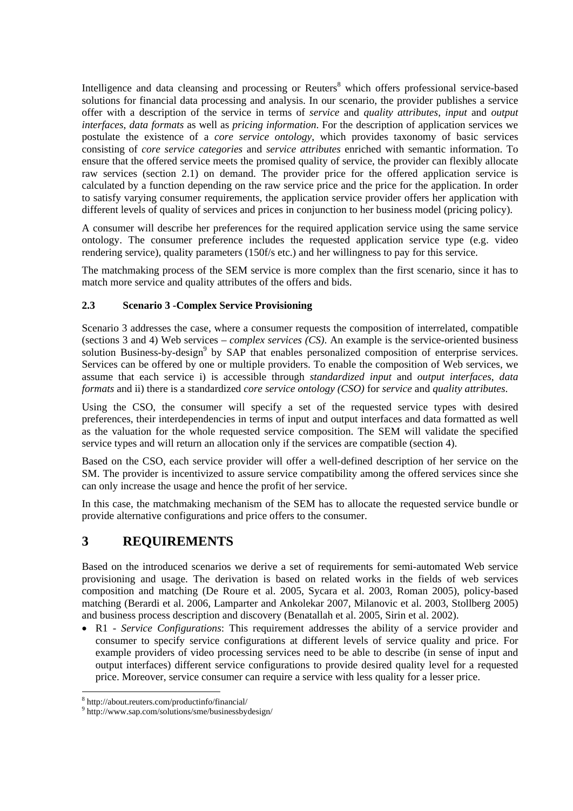Intelligence and data cleansing and processing or Reuters<sup>8</sup> which offers professional service-based solutions for financial data processing and analysis. In our scenario, the provider publishes a service offer with a description of the service in terms of *service* and *quality attributes*, *input* and *output interfaces*, *data formats* as well as *pricing information*. For the description of application services we postulate the existence of a *core service ontology*, which provides taxonomy of basic services consisting of *core service categories* and *service attributes* enriched with semantic information. To ensure that the offered service meets the promised quality of service, the provider can flexibly allocate raw services (section 2.1) on demand. The provider price for the offered application service is calculated by a function depending on the raw service price and the price for the application. In order to satisfy varying consumer requirements, the application service provider offers her application with different levels of quality of services and prices in conjunction to her business model (pricing policy).

A consumer will describe her preferences for the required application service using the same service ontology. The consumer preference includes the requested application service type (e.g. video rendering service), quality parameters (150f/s etc.) and her willingness to pay for this service.

The matchmaking process of the SEM service is more complex than the first scenario, since it has to match more service and quality attributes of the offers and bids.

## **2.3 Scenario 3 -Complex Service Provisioning**

Scenario 3 addresses the case, where a consumer requests the composition of interrelated, compatible (sections 3 and 4) Web services – *complex services (CS)*. An example is the service-oriented business solution Business-by-design<sup>9</sup> by SAP that enables personalized composition of enterprise services. Services can be offered by one or multiple providers. To enable the composition of Web services, we assume that each service i) is accessible through *standardized input* and *output interfaces*, *data formats* and ii) there is a standardized *core service ontology (CSO)* for *service* and *quality attributes*.

Using the CSO, the consumer will specify a set of the requested service types with desired preferences, their interdependencies in terms of input and output interfaces and data formatted as well as the valuation for the whole requested service composition. The SEM will validate the specified service types and will return an allocation only if the services are compatible (section 4).

Based on the CSO, each service provider will offer a well-defined description of her service on the SM. The provider is incentivized to assure service compatibility among the offered services since she can only increase the usage and hence the profit of her service.

In this case, the matchmaking mechanism of the SEM has to allocate the requested service bundle or provide alternative configurations and price offers to the consumer.

# **3 REQUIREMENTS**

Based on the introduced scenarios we derive a set of requirements for semi-automated Web service provisioning and usage. The derivation is based on related works in the fields of web services composition and matching (De Roure et al. 2005, Sycara et al. 2003, Roman 2005), policy-based matching (Berardi et al. 2006, Lamparter and Ankolekar 2007, Milanovic et al. 2003, Stollberg 2005) and business process description and discovery (Benatallah et al. 2005, Sirin et al. 2002).

• R1 - *Service Configurations*: This requirement addresses the ability of a service provider and consumer to specify service configurations at different levels of service quality and price. For example providers of video processing services need to be able to describe (in sense of input and output interfaces) different service configurations to provide desired quality level for a requested price. Moreover, service consumer can require a service with less quality for a lesser price.

<sup>&</sup>lt;sup>8</sup><br><sup>8</sup> http://about.reuters.com/productinfo/financial/<br><sup>9</sup> http://www.com.com/solutions/cmo/husinoschus

<sup>&</sup>lt;sup>9</sup> http://www.sap.com/solutions/sme/businessbydesign/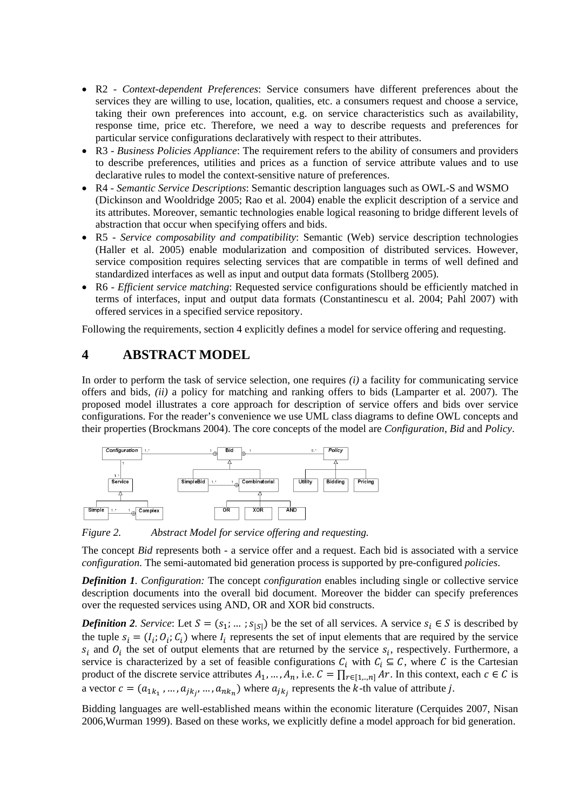- R2 *Context-dependent Preferences*: Service consumers have different preferences about the services they are willing to use, location, qualities, etc. a consumers request and choose a service, taking their own preferences into account, e.g. on service characteristics such as availability, response time, price etc. Therefore, we need a way to describe requests and preferences for particular service configurations declaratively with respect to their attributes.
- R3 *Business Policies Appliance*: The requirement refers to the ability of consumers and providers to describe preferences, utilities and prices as a function of service attribute values and to use declarative rules to model the context-sensitive nature of preferences.
- R4 *Semantic Service Descriptions*: Semantic description languages such as OWL-S and WSMO (Dickinson and Wooldridge 2005; Rao et al. 2004) enable the explicit description of a service and its attributes. Moreover, semantic technologies enable logical reasoning to bridge different levels of abstraction that occur when specifying offers and bids.
- R5 *Service composability and compatibility*: Semantic (Web) service description technologies (Haller et al. 2005) enable modularization and composition of distributed services. However, service composition requires selecting services that are compatible in terms of well defined and standardized interfaces as well as input and output data formats (Stollberg 2005).
- R6 *Efficient service matching*: Requested service configurations should be efficiently matched in terms of interfaces, input and output data formats (Constantinescu et al. 2004; Pahl 2007) with offered services in a specified service repository.

Following the requirements, section 4 explicitly defines a model for service offering and requesting.

## **4 ABSTRACT MODEL**

In order to perform the task of service selection, one requires *(i)* a facility for communicating service offers and bids, *(ii)* a policy for matching and ranking offers to bids (Lamparter et al. 2007). The proposed model illustrates a core approach for description of service offers and bids over service configurations. For the reader's convenience we use UML class diagrams to define OWL concepts and their properties (Brockmans 2004). The core concepts of the model are *Configuration*, *Bid* and *Policy*.



*Figure 2. Abstract Model for service offering and requesting.* 

The concept *Bid* represents both - a service offer and a request. Each bid is associated with a service *configuration*. The semi-automated bid generation process is supported by pre-configured *policies*.

*Definition 1. Configuration:* The concept *configuration* enables including single or collective service description documents into the overall bid document. Moreover the bidder can specify preferences over the requested services using AND, OR and XOR bid constructs.

*Definition 2. Service*: Let  $S = (s_1; \dots; s_{|S|})$  be the set of all services. A service  $s_i \in S$  is described by the tuple  $s_i = (I_i; O_i; C_i)$  where  $I_i$  represents the set of input elements that are required by the service  $S_i$  and  $O_i$  the set of output elements that are returned by the service  $S_i$ , respectively. Furthermore, a service is characterized by a set of feasible configurations  $C_i$  with  $C_i \subseteq C$ , where C is the Cartesian product of the discrete service attributes  $A_1, ..., A_n$ , i.e.  $C = \prod_{r \in [1, ..., n]} Ar$ . In this context, each  $c \in C$  is a vector  $c = (a_{1k_1},...,a_{jk_j},...,a_{nk_n})$  where  $a_{jk_j}$  represents the k-th value of attribute j.

Bidding languages are well-established means within the economic literature (Cerquides 2007, Nisan 2006,Wurman 1999). Based on these works, we explicitly define a model approach for bid generation.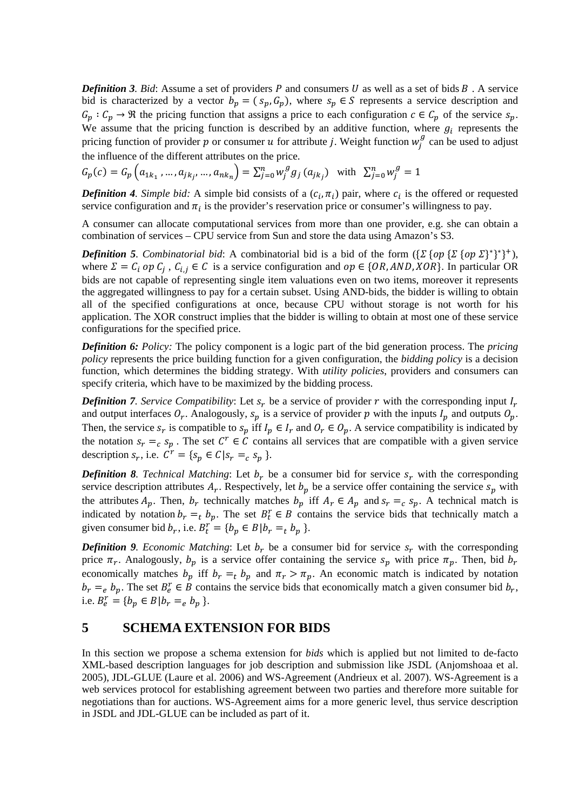*Definition 3. Bid:* Assume a set of providers  $P$  and consumers  $U$  as well as a set of bids  $B$ . A service bid is characterized by a vector  $b_n = (s_n, G_n)$ , where  $s_n \in S$  represents a service description and  $G_p: C_p \to \mathfrak{R}$  the pricing function that assigns a price to each configuration  $c \in C_p$  of the service  $s_p$ . We assume that the pricing function is described by an additive function, where  $g_i$  represents the pricing function of provider p or consumer u for attribute j. Weight function  $w_j^g$  can be used to adjust the influence of the different attributes on the price.

$$
G_p(c) = G_p\left(a_{1k_1}, \dots, a_{jk_j}, \dots, a_{nk_n}\right) = \sum_{j=0}^n w_j^g g_j\left(a_{jk_j}\right) \text{ with } \sum_{j=0}^n w_j^g = 1
$$

**Definition 4.** Simple bid: A simple bid consists of a  $(c_i, \pi_i)$  pair, where  $c_i$  is the offered or requested service configuration and  $\pi_i$  is the provider's reservation price or consumer's willingness to pay.

A consumer can allocate computational services from more than one provider, e.g. she can obtain a combination of services – CPU service from Sun and store the data using Amazon's S3.

*Definition 5. Combinatorial bid:* A combinatorial bid is a bid of the form  $(\sum \{op \{op \}\nolimits \{\sum \{op \}^*\}^*\}^+)$ , where  $\Sigma = C_i$  op  $C_j$ ,  $C_{i,j} \in C$  is a service configuration and  $op \in \{OR, AND, XOR\}$ . In particular OR bids are not capable of representing single item valuations even on two items, moreover it represents the aggregated willingness to pay for a certain subset. Using AND-bids, the bidder is willing to obtain all of the specified configurations at once, because CPU without storage is not worth for his application. The XOR construct implies that the bidder is willing to obtain at most one of these service configurations for the specified price.

*Definition 6: Policy:* The policy component is a logic part of the bid generation process. The *pricing policy* represents the price building function for a given configuration, the *bidding policy* is a decision function, which determines the bidding strategy. With *utility policies*, providers and consumers can specify criteria, which have to be maximized by the bidding process.

*Definition 7. Service Compatibility:* Let  $s_r$  be a service of provider r with the corresponding input  $I_r$ and output interfaces  $O_r$ . Analogously,  $s_p$  is a service of provider p with the inputs  $I_p$  and outputs  $O_p$ . Then, the service  $s_r$  is compatible to  $s_p$  iff  $I_p \in I_r$  and  $O_r \in O_p$ . A service compatibility is indicated by the notation  $s_r =_c s_p$ . The set  $C^r \in C$  contains all services that are compatible with a given service description  $s_r$ , i.e.  $C^r = \{s_p \in C | s_r = c \, s_p \}$ .

*Definition 8. Technical Matching:* Let  $b<sub>r</sub>$  be a consumer bid for service  $s<sub>r</sub>$  with the corresponding service description attributes  $A_r$ . Respectively, let  $b_p$  be a service offer containing the service  $s_p$  with the attributes  $A_p$ . Then,  $b_r$  technically matches  $b_p$  iff  $A_r \in A_p$  and  $s_r =_c s_p$ . A technical match is indicated by notation  $b_r =_t b_p$ . The set  $B_t^r \in B$  contains the service bids that technically match a given consumer bid  $b_r$ , i.e.  $B_t^r = \{b_p \in B | b_r =_t b_p \}$ .

*Definition 9. Economic Matching:* Let  $b_r$  be a consumer bid for service  $s_r$  with the corresponding price  $\pi_r$ . Analogously,  $b_p$  is a service offer containing the service  $s_p$  with price  $\pi_p$ . Then, bid  $b_r$ economically matches  $b_p$  iff  $b_r =_t b_p$  and  $\pi_r > \pi_p$ . An economic match is indicated by notation  $b_r =_e b_p$ . The set  $B_e^r \in B$  contains the service bids that economically match a given consumer bid  $b_r$ , i.e.  $B_e^r = \{b_p \in B | b_r =_e b_p\}$ .

## **5 SCHEMA EXTENSION FOR BIDS**

In this section we propose a schema extension for *bids* which is applied but not limited to de-facto XML-based description languages for job description and submission like JSDL (Anjomshoaa et al. 2005), JDL-GLUE (Laure et al. 2006) and WS-Agreement (Andrieux et al. 2007). WS-Agreement is a web services protocol for establishing agreement between two parties and therefore more suitable for negotiations than for auctions. WS-Agreement aims for a more generic level, thus service description in JSDL and JDL-GLUE can be included as part of it.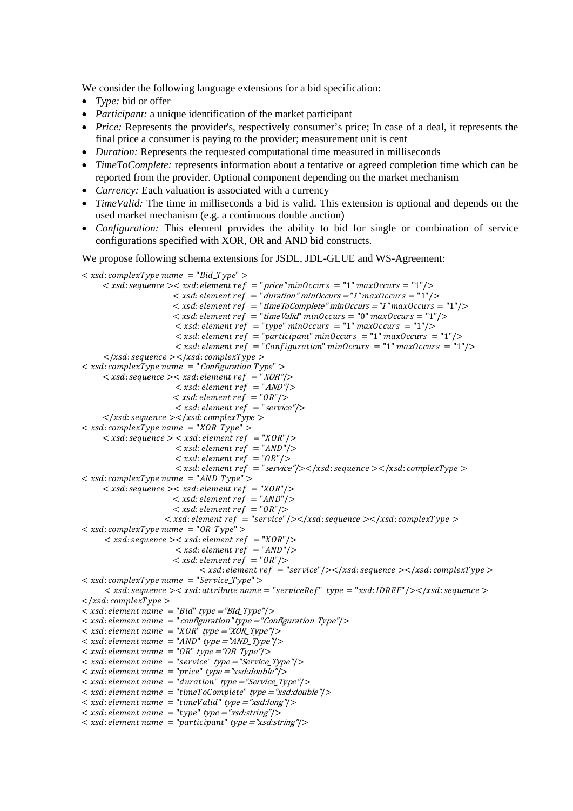We consider the following language extensions for a bid specification:

- *Type:* bid or offer
- *Participant:* a unique identification of the market participant
- *Price:* Represents the provider's, respectively consumer's price; In case of a deal, it represents the final price a consumer is paying to the provider; measurement unit is cent
- *Duration:* Represents the requested computational time measured in milliseconds
- *TimeToComplete:* represents information about a tentative or agreed completion time which can be reported from the provider. Optional component depending on the market mechanism
- *Currency:* Each valuation is associated with a currency
- *TimeValid:* The time in milliseconds a bid is valid. This extension is optional and depends on the used market mechanism (e.g. a continuous double auction)
- *Configuration:* This element provides the ability to bid for single or combination of service configurations specified with XOR, OR and AND bid constructs.

We propose following schema extensions for JSDL, JDL-GLUE and WS-Agreement:

 $\langle xsd:complexType name \rangle = "Bid Type"$  $\langle x, x \rangle$  is equence  $\langle x, x \rangle$  is equence  $\langle x, x \rangle$  is equence  $\langle x, x \rangle$  is equence  $\langle x, x \rangle$  is  $\langle x, x \rangle$  $<$  xsd: element ref = "duration" minOccurs = "1" maxOccurs = "1" />  $<$  xsd: element ref = "timeToComplete" minOccurs = "1" maxOccurs = "1" />  $<$  xsd: element ref = "timeValid" minOccurs = "0" maxOccurs = "1"/>  $\langle xsd : element ref = "type" minOccurs = "1" maxOccurs = "1"$  $\langle xsd : element ref = "participant" minOccurs = "1" maxOccurs = "1"$  $\langle x, x \rangle$  /  $\langle x, y \rangle = \langle x, y \rangle$   $\langle y, y \rangle = \langle y, y \rangle$  $\langle x \rangle \langle x \rangle$  : sequence  $\langle x \rangle \langle x \rangle$ : complexType  $\langle x \rangle$  $\langle x \rangle \langle x \rangle$  complex Type name = "Configuration Type" >  $\langle x, x \rangle$   $\langle x, x \rangle$ :  $\langle x, x \rangle$   $\langle x, x \rangle$   $\langle x, x \rangle$   $\langle x, x \rangle$   $\langle x, x \rangle$   $\langle x, x \rangle$   $\langle x, x \rangle$   $\langle x, x \rangle$  $\langle xsd : element ref \rangle = \langle AND \rangle / \rangle$  $\langle xsd : element ref = "OR" \rangle$  $\langle xsd : element ref \rangle = "service"$  $\langle x \rangle \langle x \rangle$  sequence  $\langle x \rangle \langle x \rangle$ : complexType  $\langle x \rangle$  $\langle x \rangle$  xsd: complexType name = "XOR Type" >  $<$  xsd: sequence  $>$   $<$  xsd: element ref = "XOR"/ $>$  $\langle xsd : element ref = "AND" \rangle$  $\langle xsd : element ref = "OR" \rangle$  $\langle x, x \rangle$  = "service"/> $\langle x, x \rangle$  =  $\langle x, x \rangle$  =  $\langle x, x \rangle$  =  $\langle x, x \rangle$  =  $\langle x, x \rangle$  =  $\langle x, x \rangle$  =  $\langle x, x \rangle$  =  $\langle x, x \rangle$  =  $\langle x, x \rangle$  =  $\langle x, x \rangle$  =  $\langle x, x \rangle$  =  $\langle x, x \rangle$  =  $\langle x, x \rangle$  =  $\langle x, x \rangle$  =  $\langle x, x \rangle$  =  $\langle x, x \rangle$  =  $\langle x, x$  $\langle xsd:complexType name = "ANDType" \rangle$  $\langle xsd: \text{sequence} \rangle \langle xsd: \text{element ref} \rangle = "XOR" \rangle$  $\langle xsd : element ref = "AND" \rangle$  $\langle xsd : element ref = "OR" \rangle$  $\langle x \rangle$   $\langle x \rangle =$   $\langle x \rangle$   $\langle y \rangle =$   $\langle y \rangle$   $\langle y \rangle$   $\langle y \rangle$   $\langle y \rangle$  $\langle xsd:complexType name = "ORType" \rangle$  $\langle xsd: \text{sequence} \rangle \langle xsd: \text{element ref} \rangle = "XOR" \rangle$  $\langle xsd : element ref \rangle = "AND"$  $\langle xsd : element ref = "OR" \rangle$  $\langle x \rangle$  < xsd: element ref = "service"/ $\langle x \rangle$  = sequence  $\langle x \rangle$  = sequence  $\langle x \rangle$  $\langle xsd:complexType name = "ServiceType" \rangle$  $\langle x, x \rangle = \langle x, y \rangle$  <  $\langle x, y \rangle$  attribute name  $\langle y, y \rangle$  =  $\langle y, y \rangle$  =  $\langle x, y \rangle$ . IDREF $\langle y, z \rangle$  sequence  $\langle y, y \rangle$  $\langle x \rangle$  /xsd: complexType  $>$  $\langle x \rangle \langle x \rangle = \langle x \rangle$  sate  $\langle x \rangle = \langle y \rangle$  and  $\langle y \rangle = \langle y \rangle$  type  $\langle y \rangle$  $\langle x \rangle$  is a set of the set of the set of the set of the set of the set of the set of the set of the set of the set of the set of the set of the set of the set of the set of the set of the set of the set of the set of the ൏ ݏݔ݀: ݈݁݁݉݁݊ݐ ݊ܽ݉݁ ൌ "ܱܴܺ" type ൌ"XOR\_Type"/  $\leq$  xsd: element name = "AND" type = "AND\_Type"/>  $\langle x \rangle \langle x \rangle = \langle x \rangle$  sate summary  $\langle x \rangle = \langle x \rangle$  type  $\langle x \rangle$  $\langle x \rangle$  < xsd: element name = "service" type = "Service\_Type"/>  $\langle x \rangle \langle x \rangle = \langle x \rangle$  < xsd: element name = "price" type = "xsd: double"/>  $<$  xsd: element name = "duration" type = "Service\_Type"/>  $<$  xsd: element name = "timeToComplete" type = "xsd: double" |>  $\langle x \rangle \langle x \rangle = \langle x \rangle$  /sd: element name = "timeValid" type = "xsd:long"/>  $\langle x \rangle \langle x \rangle = \langle x \rangle$   $\langle x \rangle = \langle x \rangle$   $\langle y \rangle = \langle y \rangle$   $\langle y \rangle = \langle x \rangle$   $\langle y \rangle$  type  $\langle y \rangle$  $\langle xsd : element name = "participant" type = "xsd:string" \rangle$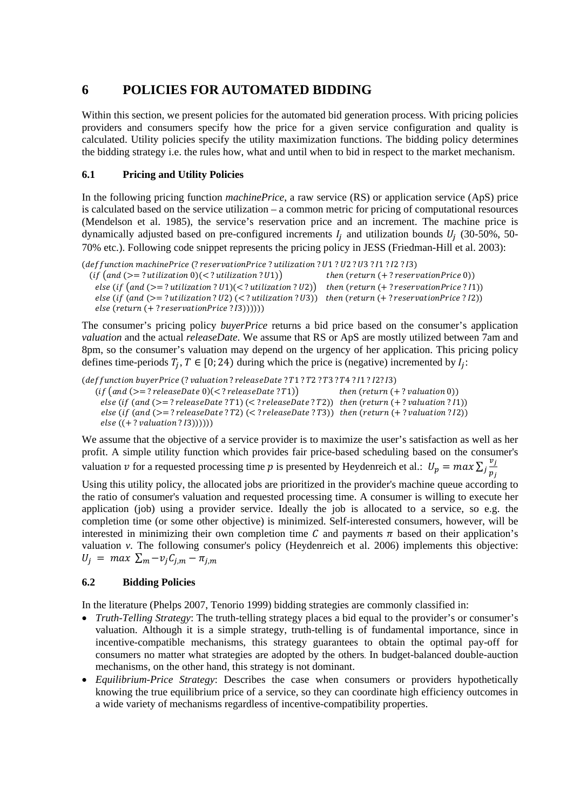# **6 POLICIES FOR AUTOMATED BIDDING**

Within this section, we present policies for the automated bid generation process. With pricing policies providers and consumers specify how the price for a given service configuration and quality is calculated. Utility policies specify the utility maximization functions. The bidding policy determines the bidding strategy i.e. the rules how, what and until when to bid in respect to the market mechanism.

## **6.1 Pricing and Utility Policies**

In the following pricing function *machinePrice*, a raw service (RS) or application service (ApS) price is calculated based on the service utilization – a common metric for pricing of computational resources (Mendelson et al. 1985), the service's reservation price and an increment. The machine price is dynamically adjusted based on pre-configured increments  $I_i$  and utilization bounds  $U_i$  (30-50%, 50-70% etc.). Following code snippet represents the pricing policy in JESS (Friedman-Hill et al. 2003):

```
(deffunction machinePrice (? reservationPrice ?utilization ? U1 ? U2 ? U3 ? I1 ? I2 ? I3)
  (i f (and (> = ?utilization 0)(\langle ?utilization ? U1) ) then (return (+)? reservationPrice 0))
   \vec{f}(t) = ?utilization ? U1(\langle t \rangle \langle t \rangle \langle t \rangle) then (\text{return } (+ ? \text{reservationPrice ? I1})else (if (and (<math>\ge</math> ? utilization?)(<math>\le</math> ? utilization?))) then (return (+ ?reservationPrice ? I2))else (return (+? reservationPrice ? I3)))))
```
The consumer's pricing policy *buyerPrice* returns a bid price based on the consumer's application *valuation* and the actual *releaseDate*. We assume that RS or ApS are mostly utilized between 7am and 8pm, so the consumer's valuation may depend on the urgency of her application. This pricing policy defines time-periods  $T_i$ ,  $T \in [0; 24)$  during which the price is (negative) incremented by  $I_i$ :

(deffunction buyerPrice (?valuation ?releaseDate ?T1 ?T2 ?T3 ?T4 ?I1 ?I2?I3)  $(if (and (>= ? releaseDate 0)(< ? releaseDate ? T1))$  then  $(return (+ ? valuation 0))$ else (if  $(and \ge 7$ releaseDate ? $T1)(\le$ ?releaseDate ? $T2)$ ) then  $(return (+ ? \text{ valuation ?}11))$  $else (if (and ( $\ge$ ?)*releaseDate* ? T2) ( $\ge$  *releaseDate* ? T3)) then (return (+?)*valuation* ? T2))$  $else ((+ ? *valuation ? I3))))))*$ 

We assume that the objective of a service provider is to maximize the user's satisfaction as well as her profit. A simple utility function which provides fair price-based scheduling based on the consumer's valuation v for a requested processing time p is presented by Heydenreich et al.:  $U_p = max \sum_j \frac{v_j}{p_j}$ 

Using this utility policy, the allocated jobs are prioritized in the provider's machine queue according to the ratio of consumer's valuation and requested processing time. A consumer is willing to execute her application (job) using a provider service. Ideally the job is allocated to a service, so e.g. the completion time (or some other objective) is minimized. Self-interested consumers, however, will be interested in minimizing their own completion time  $C$  and payments  $\pi$  based on their application's valuation *v*. The following consumer's policy (Heydenreich et al. 2006) implements this objective:  $U_i = \max \sum_m -v_i C_{i,m} - \pi_{i,m}$ 

## **6.2 Bidding Policies**

In the literature (Phelps 2007, Tenorio 1999) bidding strategies are commonly classified in:

- *Truth-Telling Strategy*: The truth-telling strategy places a bid equal to the provider's or consumer's valuation. Although it is a simple strategy, truth-telling is of fundamental importance, since in incentive-compatible mechanisms, this strategy guarantees to obtain the optimal pay-off for consumers no matter what strategies are adopted by the others. In budget-balanced double-auction mechanisms, on the other hand, this strategy is not dominant.
- *Equilibrium-Price Strategy*: Describes the case when consumers or providers hypothetically knowing the true equilibrium price of a service, so they can coordinate high efficiency outcomes in a wide variety of mechanisms regardless of incentive-compatibility properties.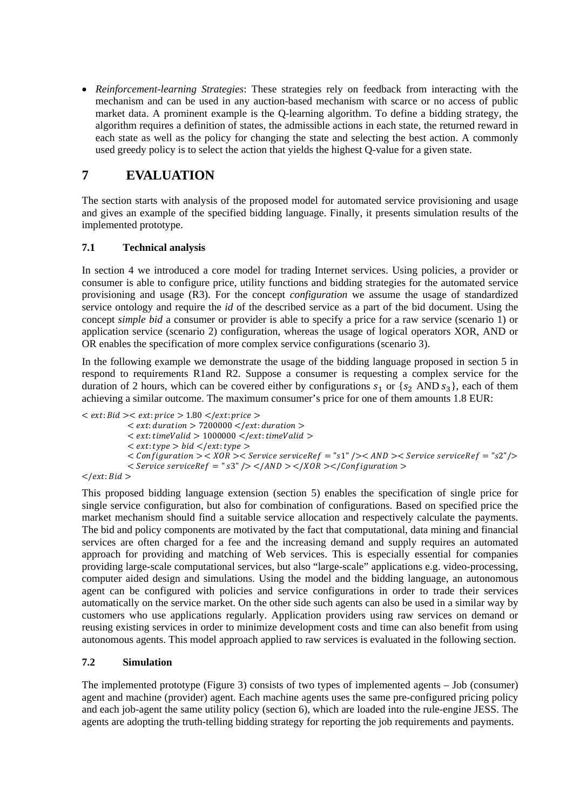• *Reinforcement-learning Strategies*: These strategies rely on feedback from interacting with the mechanism and can be used in any auction-based mechanism with scarce or no access of public market data. A prominent example is the Q-learning algorithm. To define a bidding strategy, the algorithm requires a definition of states, the admissible actions in each state, the returned reward in each state as well as the policy for changing the state and selecting the best action. A commonly used greedy policy is to select the action that yields the highest Q-value for a given state.

## **7 EVALUATION**

The section starts with analysis of the proposed model for automated service provisioning and usage and gives an example of the specified bidding language. Finally, it presents simulation results of the implemented prototype.

## **7.1 Technical analysis**

In section 4 we introduced a core model for trading Internet services. Using policies, a provider or consumer is able to configure price, utility functions and bidding strategies for the automated service provisioning and usage (R3). For the concept *configuration* we assume the usage of standardized service ontology and require the *id* of the described service as a part of the bid document. Using the concept *simple bid* a consumer or provider is able to specify a price for a raw service (scenario 1) or application service (scenario 2) configuration, whereas the usage of logical operators XOR, AND or OR enables the specification of more complex service configurations (scenario 3).

In the following example we demonstrate the usage of the bidding language proposed in section 5 in respond to requirements R1and R2. Suppose a consumer is requesting a complex service for the duration of 2 hours, which can be covered either by configurations  $s_1$  or  $\{s_2 \text{ AND } s_3\}$ , each of them achieving a similar outcome. The maximum consumer's price for one of them amounts 1.8 EUR:

```
\langle ext:Bid \rangle \langle ext:price \rangle = 1.80 \langle ext:price \rangle\langle ext: duration > 7200000 \langle /ext: duration >\langle ext: timeValid > 1000000 \langle /ext: timeValid >\langle ext: type \rangle bid \langle ext: type \rangle< Configuration > < XOR > < Service serviceRef = \sqrt{5} \sqrt{2} \sqrt{2} \sqrt{2} \sqrt{2} \sqrt{2} \sqrt{2} \sqrt{2} \sqrt{2} \sqrt{2} \sqrt{2} \sqrt{2} \sqrt{2} \sqrt{2} \sqrt{2} \sqrt{2} \sqrt{2} \sqrt{2} \sqrt{2} \sqrt{2} \\langle Service service Ref = "s3" \langle > \rangle /AND > \langle /XOR > \langle /Configuration \rangle
```
 $\langle$ /ext: Bid >

This proposed bidding language extension (section 5) enables the specification of single price for single service configuration, but also for combination of configurations. Based on specified price the market mechanism should find a suitable service allocation and respectively calculate the payments. The bid and policy components are motivated by the fact that computational, data mining and financial services are often charged for a fee and the increasing demand and supply requires an automated approach for providing and matching of Web services. This is especially essential for companies providing large-scale computational services, but also "large-scale" applications e.g. video-processing, computer aided design and simulations. Using the model and the bidding language, an autonomous agent can be configured with policies and service configurations in order to trade their services automatically on the service market. On the other side such agents can also be used in a similar way by customers who use applications regularly. Application providers using raw services on demand or reusing existing services in order to minimize development costs and time can also benefit from using autonomous agents. This model approach applied to raw services is evaluated in the following section.

## **7.2 Simulation**

The implemented prototype (Figure 3) consists of two types of implemented agents – Job (consumer) agent and machine (provider) agent. Each machine agents uses the same pre-configured pricing policy and each job-agent the same utility policy (section 6), which are loaded into the rule-engine JESS. The agents are adopting the truth-telling bidding strategy for reporting the job requirements and payments.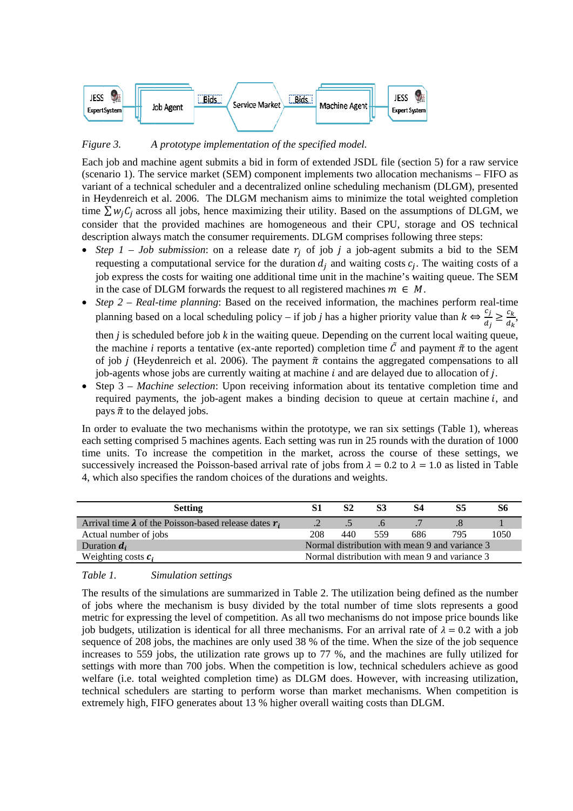

*Figure* 3. *A* A prototype implementation of the specified model.

Each job and machine agent submits a bid in form of extended JSDL file (section 5) for a raw service (scenario 1). The service market (SEM) component implements two allocation mechanisms - FIFO as Each job and machine agent submits a bid in form of extended JSDL file (section 5) for a raw service (scenario 1). The service market (SEM) component implements two allocation mechanisms – FIFO as variant of a technical sc in Heydenreich et al. 2006. The DLGM mechanism aims to minimize the total weighted completion time  $\sum w_j C_j$  across all jobs, hence maximizing their utility. Based on the assumptions of DLGM, we consider that the provided machines are homogeneous and their CPU, storage and OS technical description always match the consumer requirements. DLGM comprises following three steps:

- *Step 1 Job submission*: on a release date  $r_j$  of job j a job-agent submits a bid to the SEM requesting a computational service for the duration  $d_j$  and waiting costs  $c_j$ . The waiting costs of a job express the costs for waiting one additional time unit in the machine's waiting queue. The SEM in the case of DLGM forwards the request to all registered machines  $m \in M$ .
- *Step 2 Real-time planning*: Based on the received information, the machines perform real-time planning based on a local scheduling policy – if job *j* has a higher priority value than  $k \Leftrightarrow \frac{c_j}{d_j} \ge \frac{c_k}{d_k}$ then  $j$  is scheduled before job  $k$  in the waiting queue. Depending on the current local waiting queue, the machine *i* reports a tentative (ex-ante reported) completion time  $\tilde{C}$  and payment  $\tilde{\pi}$  to the agent of job *j* (Heydenreich et al. 2006). The payment  $\tilde{\pi}$  contains the aggregated compensations to all job-agents whose jobs are currently waiting at machine *i* and are delayed due to allocation of *j*.
- Step 3 *Machine selection*: Upon receiving information about its tentative completion time and required payments, the job-agent makes a binding decision to queue at certain machine *i*, and pays  $\tilde{\pi}$  to the delayed jobs.

pays  $\tilde{\pi}$  to the delayed jobs.<br>In order to evaluate the two mechanisms within the prototype, we ran six settings (Table 1), whereas each setting comprised 5 machines agents. Each setting was run in 25 rounds with the duration of 1000 time units. To increase the competition in the market, across the course of these settings, we successively increased the Poisson-based arrival rate of jobs from  $\lambda = 0.2$  to  $\lambda = 1.0$  as listed in Table 4, which also specifies the random choices of the durations and weights.

| <b>Setting</b>                                                  |                                                | S2  | S3  | S4  | S5  | S6   |  |
|-----------------------------------------------------------------|------------------------------------------------|-----|-----|-----|-----|------|--|
| Arrival time $\lambda$ of the Poisson-based release dates $r_i$ |                                                |     |     |     |     |      |  |
| Actual number of jobs                                           | 208                                            | 440 | 559 | 686 | 795 | 1050 |  |
| Duration $d_i$                                                  | Normal distribution with mean 9 and variance 3 |     |     |     |     |      |  |
| Weighting costs $c_i$                                           | Normal distribution with mean 9 and variance 3 |     |     |     |     |      |  |

*Table* 1. S Simulation settings

The results of the simulations are summarized in Table 2. The utilization being defined as the number of jobs where the mechanism is busy divided by the total number of time slots represents a good metric for expressing the level of competition. As all two mechanisms do not impose price bounds like job budgets, utilization is identical for all three mechanisms. For an arrival rate of  $\lambda = 0.2$  with a job sequence of 208 jobs, the machines are only used 38 % of the time. When the size of the job sequence increases to 559 jobs, the utilization rate grows up to 77 %, and the machines are fully utilized for settings with more than 700 jobs. When the competition is low, technical schedulers achieve as good welfare (i.e. total weighted completion time) as DLGM does. However, with increasing utilization, technical schedulers are starting to perform worse than market mechanisms. When competition is extremely high, FIFO generates about 13 % higher overall waiting costs than DLGM. on we<br>we call M<br>f a M me, all and md<br>as a M me, all and md<br>as OO we ce of book<br>be ce of oor of h, is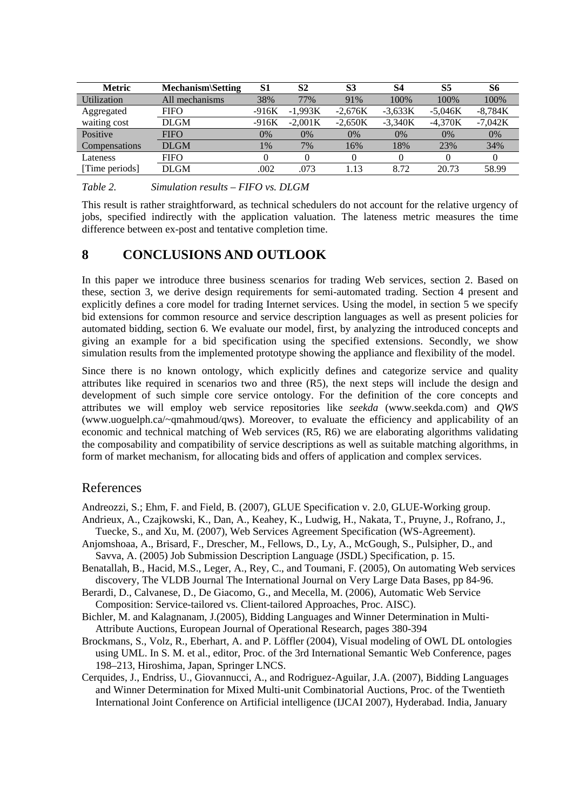| <b>Metric</b> | <b>Mechanism</b> \Setting | S1      | S <sub>2</sub> | S <sub>3</sub>   | S4        | S <sub>5</sub> | S6        |
|---------------|---------------------------|---------|----------------|------------------|-----------|----------------|-----------|
| Utilization   | All mechanisms            | 38%     | 77%            | 91%              | 100%      | 100%           | 100%      |
| Aggregated    | <b>FIFO</b>               | $-916K$ | $-1.993K$      | $-2.676K$        | $-3,633K$ | $-5.046K$      | $-8,784K$ |
| waiting cost  | DLGM                      | $-916K$ | $-2.001K$      | $-2,650K$        | $-3,340K$ | $-4,370K$      | $-7,042K$ |
| Positive      | <b>FIFO</b>               | $0\%$   | 0%             | 0%               | $0\%$     | $0\%$          | $0\%$     |
| Compensations | <b>DLGM</b>               | 1%      | 7%             | 16%              | 18%       | 23%            | 34%       |
| Lateness      | FIFO                      |         |                |                  |           |                |           |
| Time periods  | DLGM                      | .002    | .073           | $\overline{.}13$ | 8.72      | 20.73          | 58.99     |

*Table 2. Simulation results – FIFO vs. DLGM* 

This result is rather straightforward, as technical schedulers do not account for the relative urgency of jobs, specified indirectly with the application valuation. The lateness metric measures the time difference between ex-post and tentative completion time.

## **8 CONCLUSIONS AND OUTLOOK**

In this paper we introduce three business scenarios for trading Web services, section 2. Based on these, section 3, we derive design requirements for semi-automated trading. Section 4 present and explicitly defines a core model for trading Internet services. Using the model, in section 5 we specify bid extensions for common resource and service description languages as well as present policies for automated bidding, section 6. We evaluate our model, first, by analyzing the introduced concepts and giving an example for a bid specification using the specified extensions. Secondly, we show simulation results from the implemented prototype showing the appliance and flexibility of the model.

Since there is no known ontology, which explicitly defines and categorize service and quality attributes like required in scenarios two and three (R5), the next steps will include the design and development of such simple core service ontology. For the definition of the core concepts and attributes we will employ web service repositories like *seekda* (www.seekda.com) and *QWS* (www.uoguelph.ca/~qmahmoud/qws). Moreover, to evaluate the efficiency and applicability of an economic and technical matching of Web services (R5, R6) we are elaborating algorithms validating the composability and compatibility of service descriptions as well as suitable matching algorithms, in form of market mechanism, for allocating bids and offers of application and complex services.

## References

Andreozzi, S.; Ehm, F. and Field, B. (2007), GLUE Specification v. 2.0, GLUE-Working group.

- Andrieux, A., Czajkowski, K., Dan, A., Keahey, K., Ludwig, H., Nakata, T., Pruyne, J., Rofrano, J., Tuecke, S., and Xu, M. (2007), Web Services Agreement Specification (WS-Agreement).
- Anjomshoaa, A., Brisard, F., Drescher, M., Fellows, D., Ly, A., McGough, S., Pulsipher, D., and Savva, A. (2005) Job Submission Description Language (JSDL) Specification, p. 15.
- Benatallah, B., Hacid, M.S., Leger, A., Rey, C., and Toumani, F. (2005), On automating Web services discovery, The VLDB Journal The International Journal on Very Large Data Bases, pp 84-96.
- Berardi, D., Calvanese, D., De Giacomo, G., and Mecella, M. (2006), Automatic Web Service Composition: Service-tailored vs. Client-tailored Approaches, Proc. AISC).
- Bichler, M. and Kalagnanam, J.(2005), Bidding Languages and Winner Determination in Multi-Attribute Auctions, European Journal of Operational Research, pages 380-394
- Brockmans, S., Volz, R., Eberhart, A. and P. Löffler (2004), Visual modeling of OWL DL ontologies using UML. In S. M. et al., editor, Proc. of the 3rd International Semantic Web Conference, pages 198–213, Hiroshima, Japan, Springer LNCS.
- Cerquides, J., Endriss, U., Giovannucci, A., and Rodriguez-Aguilar, J.A. (2007), Bidding Languages and Winner Determination for Mixed Multi-unit Combinatorial Auctions, Proc. of the Twentieth International Joint Conference on Artificial intelligence (IJCAI 2007), Hyderabad. India, January